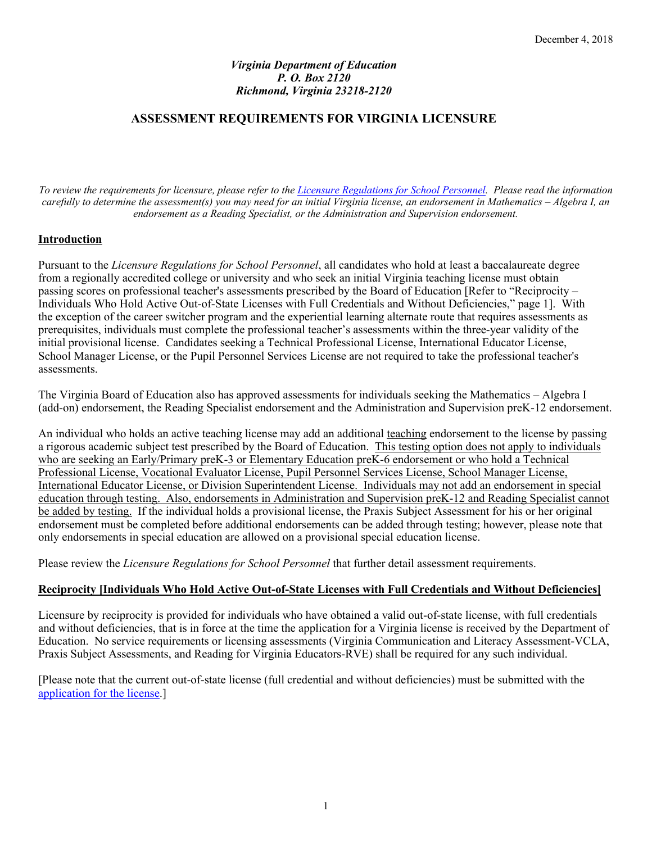## *Virginia Department of Education P. O. Box 2120 Richmond, Virginia 23218-2120*

# **ASSESSMENT REQUIREMENTS FOR VIRGINIA LICENSURE**

*To review the requirements for licensure, please refer to the Licensure Regulations for School Personnel. Please read the information carefully to determine the assessment(s) you may need for an initial Virginia license, an endorsement in Mathematics – Algebra I, an endorsement as a Reading Specialist, or the Administration and Supervision endorsement.*

## **Introduction**

Pursuant to the *Licensure Regulations for School Personnel*, all candidates who hold at least a baccalaureate degree from a regionally accredited college or university and who seek an initial Virginia teaching license must obtain passing scores on professional teacher's assessments prescribed by the Board of Education [Refer to "Reciprocity – Individuals Who Hold Active Out-of-State Licenses with Full Credentials and Without Deficiencies," page 1]. With the exception of the career switcher program and the experiential learning alternate route that requires assessments as prerequisites, individuals must complete the professional teacher's assessments within the three-year validity of the initial provisional license. Candidates seeking a Technical Professional License, International Educator License, School Manager License, or the Pupil Personnel Services License are not required to take the professional teacher's assessments.

The Virginia Board of Education also has approved assessments for individuals seeking the Mathematics – Algebra I (add-on) endorsement, the Reading Specialist endorsement and the Administration and Supervision preK-12 endorsement.

An individual who holds an active teaching license may add an additional teaching endorsement to the license by passing a rigorous academic subject test prescribed by the Board of Education. This testing option does not apply to individuals who are seeking an Early/Primary preK-3 or Elementary Education preK-6 endorsement or who hold a Technical Professional License, Vocational Evaluator License, Pupil Personnel Services License, School Manager License, International Educator License, or Division Superintendent License. Individuals may not add an endorsement in special education through testing. Also, endorsements in Administration and Supervision preK-12 and Reading Specialist cannot be added by testing. If the individual holds a provisional license, the Praxis Subject Assessment for his or her original endorsement must be completed before additional endorsements can be added through testing; however, please note that only endorsements in special education are allowed on a provisional special education license.

Please review the *Licensure Regulations for School Personnel* that further detail assessment requirements.

### **Reciprocity [Individuals Who Hold Active Out-of-State Licenses with Full Credentials and Without Deficiencies]**

Licensure by reciprocity is provided for individuals who have obtained a valid out-of-state license, with full credentials and without deficiencies, that is in force at the time the application for a Virginia license is received by the Department of Education. No service requirements or licensing assessments (Virginia Communication and Literacy Assessment-VCLA, Praxis Subject Assessments, and Reading for Virginia Educators-RVE) shall be required for any such individual.

[Please note that the current out-of-state license (full credential and without deficiencies) must be submitted with the application for the license.]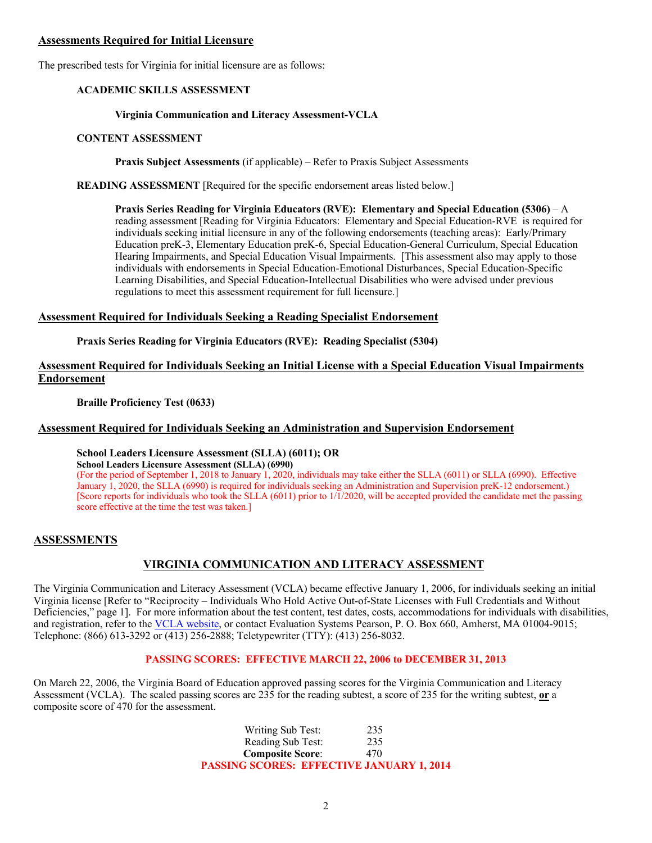#### **Assessments Required for Initial Licensure**

The prescribed tests for Virginia for initial licensure are as follows:

### **ACADEMIC SKILLS ASSESSMENT**

#### **Virginia Communication and Literacy Assessment-VCLA**

#### **CONTENT ASSESSMENT**

**Praxis Subject Assessments** (if applicable) – Refer to Praxis Subject Assessments

**READING ASSESSMENT** [Required for the specific endorsement areas listed below.]

**Praxis Series Reading for Virginia Educators (RVE): Elementary and Special Education (5306)** – A reading assessment [Reading for Virginia Educators: Elementary and Special Education-RVE is required for individuals seeking initial licensure in any of the following endorsements (teaching areas): Early/Primary Education preK-3, Elementary Education preK-6, Special Education-General Curriculum, Special Education Hearing Impairments, and Special Education Visual Impairments. [This assessment also may apply to those individuals with endorsements in Special Education-Emotional Disturbances, Special Education-Specific Learning Disabilities, and Special Education-Intellectual Disabilities who were advised under previous regulations to meet this assessment requirement for full licensure.]

#### **Assessment Required for Individuals Seeking a Reading Specialist Endorsement**

**Praxis Series Reading for Virginia Educators (RVE): Reading Specialist (5304)**

## **Assessment Required for Individuals Seeking an Initial License with a Special Education Visual Impairments Endorsement**

**Braille Proficiency Test (0633)**

### **Assessment Required for Individuals Seeking an Administration and Supervision Endorsement**

## **School Leaders Licensure Assessment (SLLA) (6011); OR**

**School Leaders Licensure Assessment (SLLA) (6990)**

(For the period of September 1, 2018 to January 1, 2020, individuals may take either the SLLA (6011) or SLLA (6990). Effective January 1, 2020, the SLLA (6990) is required for individuals seeking an Administration and Supervision preK-12 endorsement.) [Score reports for individuals who took the SLLA (6011) prior to 1/1/2020, will be accepted provided the candidate met the passing score effective at the time the test was taken.]

### **ASSESSMENTS**

# **VIRGINIA COMMUNICATION AND LITERACY ASSESSMENT**

The Virginia Communication and Literacy Assessment (VCLA) became effective January 1, 2006, for individuals seeking an initial Virginia license [Refer to "Reciprocity – Individuals Who Hold Active Out-of-State Licenses with Full Credentials and Without Deficiencies," page 1]. For more information about the test content, test dates, costs, accommodations for individuals with disabilities, and registration, refer to the VCLA website, or contact Evaluation Systems Pearson, P. O. Box 660, Amherst, MA 01004-9015; Telephone: (866) 613-3292 or (413) 256-2888; Teletypewriter (TTY): (413) 256-8032.

### **PASSING SCORES: EFFECTIVE MARCH 22, 2006 to DECEMBER 31, 2013**

On March 22, 2006, the Virginia Board of Education approved passing scores for the Virginia Communication and Literacy Assessment (VCLA). The scaled passing scores are 235 for the reading subtest, a score of 235 for the writing subtest, **or** a composite score of 470 for the assessment.

> Writing Sub Test: 235 Reading Sub Test: 235 **Composite Score**: 470 **PASSING SCORES: EFFECTIVE JANUARY 1, 2014**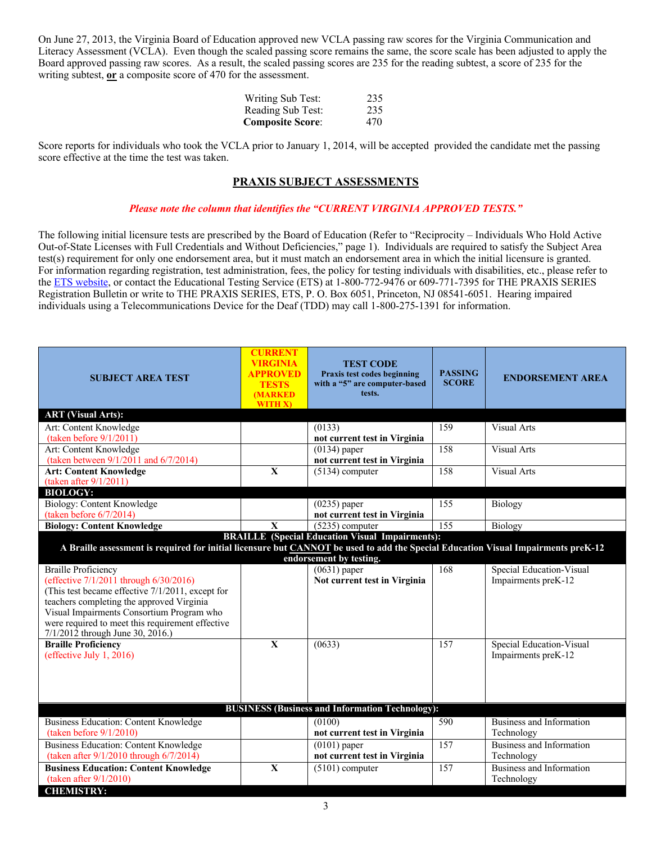On June 27, 2013, the Virginia Board of Education approved new VCLA passing raw scores for the Virginia Communication and Literacy Assessment (VCLA). Even though the scaled passing score remains the same, the score scale has been adjusted to apply the Board approved passing raw scores. As a result, the scaled passing scores are 235 for the reading subtest, a score of 235 for the writing subtest, **or** a composite score of 470 for the assessment.

| Writing Sub Test:       | 235 |
|-------------------------|-----|
| Reading Sub Test:       | 235 |
| <b>Composite Score:</b> | 470 |

Score reports for individuals who took the VCLA prior to January 1, 2014, will be accepted provided the candidate met the passing score effective at the time the test was taken.

## **PRAXIS SUBJECT ASSESSMENTS**

#### *Please note the column that identifies the "CURRENT VIRGINIA APPROVED TESTS."*

The following initial licensure tests are prescribed by the Board of Education (Refer to "Reciprocity – Individuals Who Hold Active Out-of-State Licenses with Full Credentials and Without Deficiencies," page 1). Individuals are required to satisfy the Subject Area test(s) requirement for only one endorsement area, but it must match an endorsement area in which the initial licensure is granted. For information regarding registration, test administration, fees, the policy for testing individuals with disabilities, etc., please refer to the ETS website, or contact the Educational Testing Service (ETS) at 1-800-772-9476 or 609-771-7395 for THE PRAXIS SERIES Registration Bulletin or write to THE PRAXIS SERIES, ETS, P. O. Box 6051, Princeton, NJ 08541-6051. Hearing impaired individuals using a Telecommunications Device for the Deaf (TDD) may call 1-800-275-1391 for information.

| <b>SUBJECT AREA TEST</b>                                                                                                                                                                                                                                                                                     | <b>CURRENT</b><br>VIRGINIA<br>APPROVED<br><b>TESTS</b><br>(MARKED<br>WITH X) | <b>TEST CODE</b><br>Praxis test codes beginning<br>with a "5" are computer-based<br>tests. | <b>PASSING</b><br><b>SCORE</b> | <b>ENDORSEMENT AREA</b>                         |  |  |
|--------------------------------------------------------------------------------------------------------------------------------------------------------------------------------------------------------------------------------------------------------------------------------------------------------------|------------------------------------------------------------------------------|--------------------------------------------------------------------------------------------|--------------------------------|-------------------------------------------------|--|--|
| <b>ART</b> (Visual Arts):                                                                                                                                                                                                                                                                                    |                                                                              |                                                                                            |                                |                                                 |  |  |
| Art: Content Knowledge                                                                                                                                                                                                                                                                                       |                                                                              | (0133)                                                                                     | 159                            | <b>Visual Arts</b>                              |  |  |
| (taken before $9/1/2011$ )                                                                                                                                                                                                                                                                                   |                                                                              | not current test in Virginia                                                               |                                |                                                 |  |  |
| Art: Content Knowledge                                                                                                                                                                                                                                                                                       |                                                                              | $(0134)$ paper                                                                             | 158                            | <b>Visual Arts</b>                              |  |  |
| (taken between 9/1/2011 and 6/7/2014)                                                                                                                                                                                                                                                                        |                                                                              | not current test in Virginia                                                               |                                |                                                 |  |  |
| <b>Art: Content Knowledge</b>                                                                                                                                                                                                                                                                                | $\overline{\mathbf{X}}$                                                      | $\sqrt{(5134)}$ computer                                                                   | 158                            | Visual Arts                                     |  |  |
| (taken after 9/1/2011)                                                                                                                                                                                                                                                                                       |                                                                              |                                                                                            |                                |                                                 |  |  |
| <b>BIOLOGY:</b>                                                                                                                                                                                                                                                                                              |                                                                              |                                                                                            |                                |                                                 |  |  |
| <b>Biology: Content Knowledge</b>                                                                                                                                                                                                                                                                            |                                                                              | $(0235)$ paper                                                                             | 155                            | Biology                                         |  |  |
| (taken before $6/7/2014$ )                                                                                                                                                                                                                                                                                   |                                                                              | not current test in Virginia                                                               |                                |                                                 |  |  |
| <b>Biology: Content Knowledge</b>                                                                                                                                                                                                                                                                            | $\mathbf X$                                                                  | $(5235)$ computer                                                                          | 155                            | Biology                                         |  |  |
| A Braille assessment is required for initial licensure but CANNOT be used to add the Special Education Visual Impairments preK-12                                                                                                                                                                            |                                                                              | <b>BRAILLE</b> (Special Education Visual Impairments):<br>endorsement by testing.          |                                |                                                 |  |  |
| <b>Braille Proficiency</b><br>(effective 7/1/2011 through 6/30/2016)<br>(This test became effective 7/1/2011, except for<br>teachers completing the approved Virginia<br>Visual Impairments Consortium Program who<br>were required to meet this requirement effective<br>$7/1/2012$ through June 30, 2016.) |                                                                              | $(0631)$ paper<br>Not current test in Virginia                                             | 168                            | Special Education-Visual<br>Impairments preK-12 |  |  |
| <b>Braille Proficiency</b><br>(effective July 1, 2016)                                                                                                                                                                                                                                                       | $\overline{\mathbf{X}}$                                                      | (0633)                                                                                     | 157                            | Special Education-Visual<br>Impairments preK-12 |  |  |
| <b>BUSINESS (Business and Information Technology):</b>                                                                                                                                                                                                                                                       |                                                                              |                                                                                            |                                |                                                 |  |  |
| <b>Business Education: Content Knowledge</b><br>(taken before $9/1/2010$ )                                                                                                                                                                                                                                   |                                                                              | (0100)<br>not current test in Virginia                                                     | 590                            | Business and Information<br>Technology          |  |  |
| <b>Business Education: Content Knowledge</b><br>(taken after $9/1/2010$ through $6/7/2014$ )                                                                                                                                                                                                                 |                                                                              | $(0101)$ paper<br>not current test in Virginia                                             | 157                            | Business and Information<br>Technology          |  |  |
| <b>Business Education: Content Knowledge</b><br>(taken after $9/1/2010$ )                                                                                                                                                                                                                                    | $\mathbf{X}$                                                                 | $(5101)$ computer                                                                          | 157                            | <b>Business and Information</b><br>Technology   |  |  |
| <b>CHEMISTRY:</b>                                                                                                                                                                                                                                                                                            |                                                                              |                                                                                            |                                |                                                 |  |  |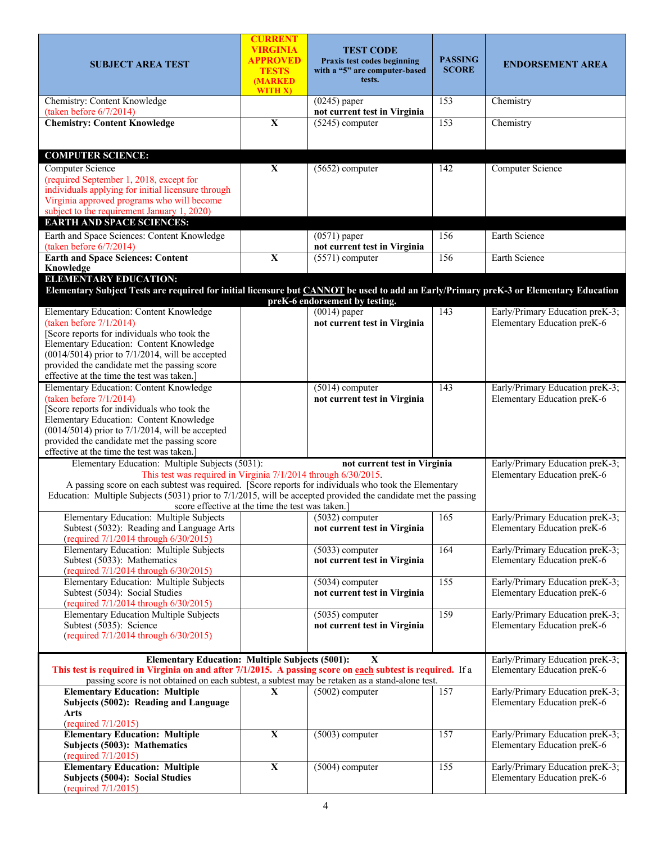| <b>SUBJECT AREA TEST</b>                                                                                                                                                                                                                                                                                                                                                                        | <b>CURRENT</b><br><b>VIRGINIA</b><br>APPROVED<br><b>TESTS</b><br>(MARKED<br>WITH X) | <b>TEST CODE</b><br>Praxis test codes beginning<br>with a "5" are computer-based<br>tests. | <b>PASSING</b><br><b>SCORE</b> | <b>ENDORSEMENT AREA</b>                                        |
|-------------------------------------------------------------------------------------------------------------------------------------------------------------------------------------------------------------------------------------------------------------------------------------------------------------------------------------------------------------------------------------------------|-------------------------------------------------------------------------------------|--------------------------------------------------------------------------------------------|--------------------------------|----------------------------------------------------------------|
| Chemistry: Content Knowledge<br>(taken before 6/7/2014)                                                                                                                                                                                                                                                                                                                                         |                                                                                     | $(0245)$ paper<br>not current test in Virginia                                             | 153                            | Chemistry                                                      |
| <b>Chemistry: Content Knowledge</b>                                                                                                                                                                                                                                                                                                                                                             | $\overline{\mathbf{X}}$                                                             | $(5245)$ computer                                                                          | 153                            | Chemistry                                                      |
|                                                                                                                                                                                                                                                                                                                                                                                                 |                                                                                     |                                                                                            |                                |                                                                |
| <b>COMPUTER SCIENCE:</b>                                                                                                                                                                                                                                                                                                                                                                        |                                                                                     |                                                                                            |                                |                                                                |
| <b>Computer Science</b><br>(required September 1, 2018, except for<br>individuals applying for initial licensure through<br>Virginia approved programs who will become<br>subject to the requirement January 1, 2020)<br><b>EARTH AND SPACE SCIENCES:</b>                                                                                                                                       | $\mathbf X$                                                                         | $(5652)$ computer                                                                          | 142                            | <b>Computer Science</b>                                        |
| Earth and Space Sciences: Content Knowledge                                                                                                                                                                                                                                                                                                                                                     |                                                                                     | $(0571)$ paper                                                                             | 156                            | Earth Science                                                  |
| (taken before $6/7/2014$ )<br><b>Earth and Space Sciences: Content</b>                                                                                                                                                                                                                                                                                                                          | $\overline{\mathbf{X}}$                                                             | not current test in Virginia<br>$(5571)$ computer                                          | 156                            | Earth Science                                                  |
| Knowledge<br><b>ELEMENTARY EDUCATION:</b>                                                                                                                                                                                                                                                                                                                                                       |                                                                                     |                                                                                            |                                |                                                                |
| Elementary Subject Tests are required for initial licensure but CANNOT be used to add an Early/Primary preK-3 or Elementary Education                                                                                                                                                                                                                                                           |                                                                                     | preK-6 endorsement by testing.                                                             |                                |                                                                |
| Elementary Education: Content Knowledge<br>(taken before $7/1/2014$ )<br>[Score reports for individuals who took the<br>Elementary Education: Content Knowledge<br>$(0014/5014)$ prior to 7/1/2014, will be accepted<br>provided the candidate met the passing score<br>effective at the time the test was taken.                                                                               |                                                                                     | $(0014)$ paper<br>not current test in Virginia                                             | 143                            | Early/Primary Education preK-3;<br>Elementary Education preK-6 |
| Elementary Education: Content Knowledge<br>(taken before $7/1/2014$ )<br>[Score reports for individuals who took the<br>Elementary Education: Content Knowledge<br>$(0014/5014)$ prior to 7/1/2014, will be accepted<br>provided the candidate met the passing score<br>effective at the time the test was taken.                                                                               |                                                                                     | $(5014)$ computer<br>not current test in Virginia                                          | 143                            | Early/Primary Education preK-3;<br>Elementary Education preK-6 |
| Elementary Education: Multiple Subjects (5031):<br>This test was required in Virginia 7/1/2014 through 6/30/2015.<br>A passing score on each subtest was required. [Score reports for individuals who took the Elementary<br>Education: Multiple Subjects (5031) prior to 7/1/2015, will be accepted provided the candidate met the passing<br>score effective at the time the test was taken.] |                                                                                     | not current test in Virginia                                                               |                                | Early/Primary Education preK-3;<br>Elementary Education preK-6 |
| Elementary Education: Multiple Subjects<br>Subtest (5032): Reading and Language Arts<br>(required 7/1/2014 through 6/30/2015)                                                                                                                                                                                                                                                                   |                                                                                     | $(5032)$ computer<br>not current test in Virginia                                          | 165                            | Early/Primary Education preK-3;<br>Elementary Education preK-6 |
| Elementary Education: Multiple Subjects<br>Subtest (5033): Mathematics<br>(required 7/1/2014 through 6/30/2015)                                                                                                                                                                                                                                                                                 |                                                                                     | $(5033)$ computer<br>not current test in Virginia                                          | 164                            | Early/Primary Education preK-3;<br>Elementary Education preK-6 |
| <b>Elementary Education: Multiple Subjects</b><br>Subtest (5034): Social Studies<br>(required $7/1/2014$ through $6/30/2015$ )                                                                                                                                                                                                                                                                  |                                                                                     | $(5034)$ computer<br>not current test in Virginia                                          | 155                            | Early/Primary Education preK-3;<br>Elementary Education preK-6 |
| <b>Elementary Education Multiple Subjects</b><br>Subtest (5035): Science<br>(required 7/1/2014 through 6/30/2015)                                                                                                                                                                                                                                                                               |                                                                                     | $(5035)$ computer<br>not current test in Virginia                                          | 159                            | Early/Primary Education preK-3;<br>Elementary Education preK-6 |
| <b>Elementary Education: Multiple Subjects (5001):</b><br>This test is required in Virginia on and after 7/1/2015. A passing score on each subtest is required. If a<br>passing score is not obtained on each subtest, a subtest may be retaken as a stand-alone test.                                                                                                                          |                                                                                     | X                                                                                          |                                | Early/Primary Education preK-3;<br>Elementary Education preK-6 |
| <b>Elementary Education: Multiple</b><br>Subjects (5002): Reading and Language<br>Arts<br>(required 7/1/2015)                                                                                                                                                                                                                                                                                   | X                                                                                   | $(5002)$ computer                                                                          | 157                            | Early/Primary Education preK-3;<br>Elementary Education preK-6 |
| <b>Elementary Education: Multiple</b><br>Subjects (5003): Mathematics<br>(required 7/1/2015)                                                                                                                                                                                                                                                                                                    | $\overline{\mathbf{X}}$                                                             | $(5003)$ computer                                                                          | 157                            | Early/Primary Education preK-3;<br>Elementary Education preK-6 |
| <b>Elementary Education: Multiple</b><br>Subjects (5004): Social Studies<br>(required 7/1/2015)                                                                                                                                                                                                                                                                                                 | $\mathbf X$                                                                         | $(5004)$ computer                                                                          | 155                            | Early/Primary Education preK-3;<br>Elementary Education preK-6 |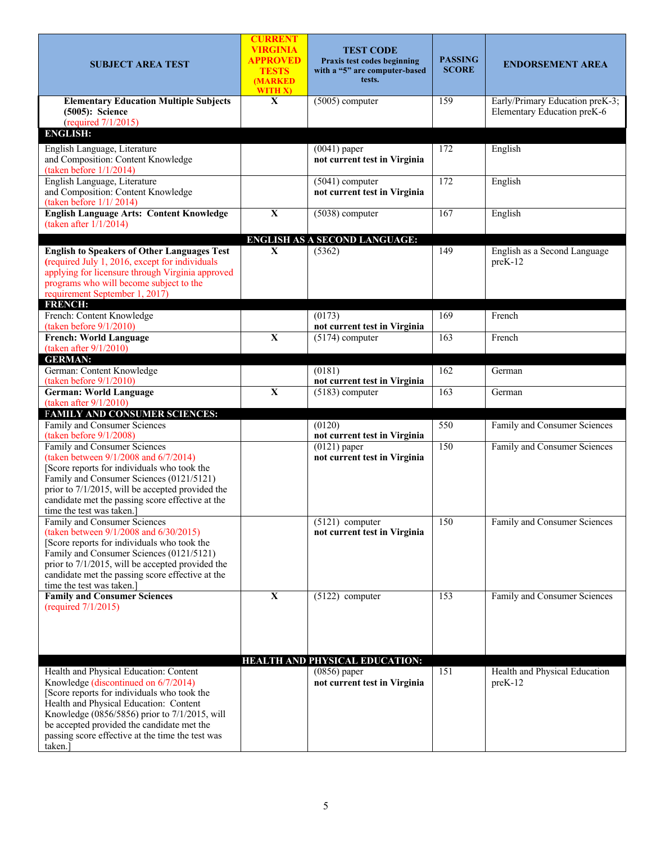| <b>SUBJECT AREA TEST</b>                                                                                                                                                                                                                                                                                                              | <b>CURRENT</b><br><b>VIRGINIA</b><br>APPROVED<br><b>TESTS</b><br>(MARKED<br>WITH X) | <b>TEST CODE</b><br>Praxis test codes beginning<br>with a "5" are computer-based<br>tests. | <b>PASSING</b><br><b>SCORE</b> | <b>ENDORSEMENT AREA</b>                                        |
|---------------------------------------------------------------------------------------------------------------------------------------------------------------------------------------------------------------------------------------------------------------------------------------------------------------------------------------|-------------------------------------------------------------------------------------|--------------------------------------------------------------------------------------------|--------------------------------|----------------------------------------------------------------|
| <b>Elementary Education Multiple Subjects</b><br>(5005): Science<br>(required 7/1/2015)                                                                                                                                                                                                                                               | $\mathbf{X}$                                                                        | $(5005)$ computer                                                                          | 159                            | Early/Primary Education preK-3;<br>Elementary Education preK-6 |
| <b>ENGLISH:</b>                                                                                                                                                                                                                                                                                                                       |                                                                                     |                                                                                            |                                |                                                                |
| English Language, Literature<br>and Composition: Content Knowledge<br>(taken before $1/1/2014$ )                                                                                                                                                                                                                                      |                                                                                     | $(0041)$ paper<br>not current test in Virginia                                             | 172                            | English                                                        |
| English Language, Literature<br>and Composition: Content Knowledge<br>(taken before $1/1/2014$ )                                                                                                                                                                                                                                      |                                                                                     | $(5041)$ computer<br>not current test in Virginia                                          | 172                            | English                                                        |
| <b>English Language Arts: Content Knowledge</b><br>(taken after $1/1/2014$ )                                                                                                                                                                                                                                                          | $\overline{\mathbf{X}}$                                                             | $(5038)$ computer                                                                          | 167                            | English                                                        |
|                                                                                                                                                                                                                                                                                                                                       |                                                                                     | <b>ENGLISH AS A SECOND LANGUAGE:</b>                                                       |                                |                                                                |
| <b>English to Speakers of Other Languages Test</b><br>(required July 1, 2016, except for individuals<br>applying for licensure through Virginia approved<br>programs who will become subject to the<br>requirement September 1, 2017)<br><b>FRENCH:</b>                                                                               | $\mathbf{X}$                                                                        | (5362)                                                                                     | 149                            | English as a Second Language<br>preK-12                        |
| French: Content Knowledge<br>(taken before $9/1/2010$ )                                                                                                                                                                                                                                                                               |                                                                                     | (0173)<br>not current test in Virginia                                                     | 169                            | French                                                         |
| <b>French: World Language</b><br>(taken after $9/1/2010$ )                                                                                                                                                                                                                                                                            | $\mathbf X$                                                                         | $(5174)$ computer                                                                          | 163                            | French                                                         |
| <b>GERMAN:</b>                                                                                                                                                                                                                                                                                                                        |                                                                                     |                                                                                            |                                |                                                                |
| German: Content Knowledge<br>(taken before 9/1/2010)                                                                                                                                                                                                                                                                                  |                                                                                     | (0181)<br>not current test in Virginia                                                     | 162                            | German                                                         |
| <b>German: World Language</b><br>(taken after 9/1/2010)                                                                                                                                                                                                                                                                               | $\mathbf X$                                                                         | $(5183)$ computer                                                                          | 163                            | German                                                         |
| FAMILY AND CONSUMER SCIENCES:                                                                                                                                                                                                                                                                                                         |                                                                                     |                                                                                            |                                |                                                                |
| Family and Consumer Sciences<br>(taken before 9/1/2008)                                                                                                                                                                                                                                                                               |                                                                                     | (0120)<br>not current test in Virginia                                                     | 550                            | Family and Consumer Sciences                                   |
| Family and Consumer Sciences<br>(taken between 9/1/2008 and 6/7/2014)<br>[Score reports for individuals who took the<br>Family and Consumer Sciences (0121/5121)<br>prior to 7/1/2015, will be accepted provided the<br>candidate met the passing score effective at the<br>time the test was taken.                                  |                                                                                     | $(0121)$ paper<br>not current test in Virginia                                             | 150                            | Family and Consumer Sciences                                   |
| Family and Consumer Sciences<br>(taken between 9/1/2008 and 6/30/2015)<br>[Score reports for individuals who took the<br>Family and Consumer Sciences (0121/5121)<br>prior to 7/1/2015, will be accepted provided the<br>candidate met the passing score effective at the<br>time the test was taken.]                                |                                                                                     | $(5121)$ computer<br>not current test in Virginia                                          | 150                            | Family and Consumer Sciences                                   |
| <b>Family and Consumer Sciences</b><br>(required 7/1/2015)                                                                                                                                                                                                                                                                            | $\mathbf X$                                                                         | $(5122)$ computer                                                                          | 153                            | Family and Consumer Sciences                                   |
|                                                                                                                                                                                                                                                                                                                                       |                                                                                     | HEALTH AND PHYSICAL EDUCATION:                                                             |                                |                                                                |
| Health and Physical Education: Content<br>Knowledge (discontinued on 6/7/2014)<br>[Score reports for individuals who took the<br>Health and Physical Education: Content<br>Knowledge (0856/5856) prior to 7/1/2015, will<br>be accepted provided the candidate met the<br>passing score effective at the time the test was<br>taken.] |                                                                                     | $(0856)$ paper<br>not current test in Virginia                                             | 151                            | Health and Physical Education<br>$preK-12$                     |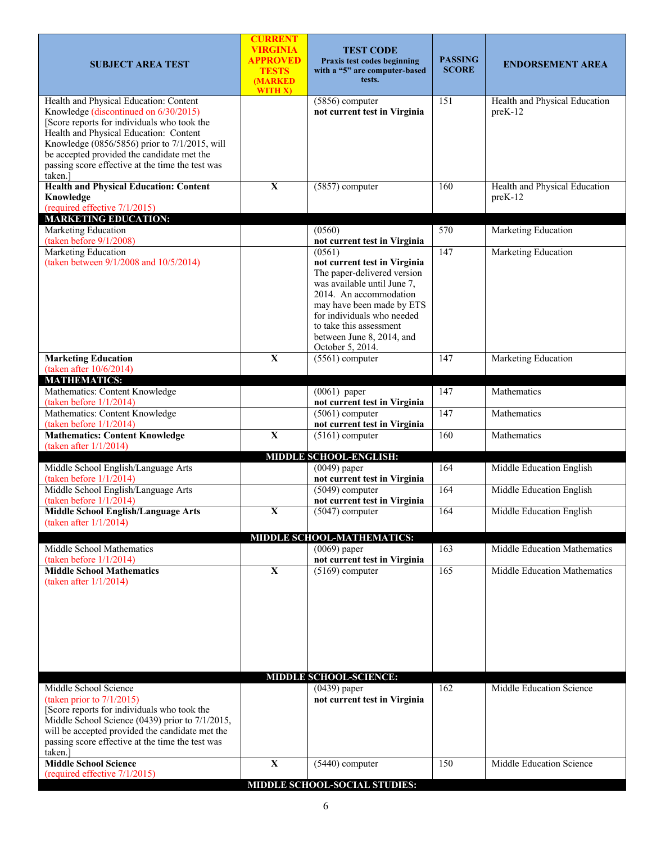| <b>SUBJECT AREA TEST</b>                                                                                                                                                                                                                                                                                                               | <b>CURRENT</b><br>VIRGINIA<br><b>APPROVED</b><br><b>TESTS</b><br>(MARKED<br>WITH X) | <b>TEST CODE</b><br>Praxis test codes beginning<br>with a "5" are computer-based<br>tests.                                                                                                                                                                                                            | <b>PASSING</b><br><b>SCORE</b> | <b>ENDORSEMENT AREA</b>                    |  |  |
|----------------------------------------------------------------------------------------------------------------------------------------------------------------------------------------------------------------------------------------------------------------------------------------------------------------------------------------|-------------------------------------------------------------------------------------|-------------------------------------------------------------------------------------------------------------------------------------------------------------------------------------------------------------------------------------------------------------------------------------------------------|--------------------------------|--------------------------------------------|--|--|
| Health and Physical Education: Content<br>Knowledge (discontinued on 6/30/2015)<br>[Score reports for individuals who took the<br>Health and Physical Education: Content<br>Knowledge (0856/5856) prior to 7/1/2015, will<br>be accepted provided the candidate met the<br>passing score effective at the time the test was<br>taken.] |                                                                                     | $(5856)$ computer<br>not current test in Virginia                                                                                                                                                                                                                                                     | 151                            | Health and Physical Education<br>$preK-12$ |  |  |
| <b>Health and Physical Education: Content</b><br>Knowledge<br>(required effective 7/1/2015)                                                                                                                                                                                                                                            | $\mathbf X$                                                                         | $(5857)$ computer                                                                                                                                                                                                                                                                                     | 160                            | Health and Physical Education<br>$preK-12$ |  |  |
| <b>MARKETING EDUCATION:</b><br><b>Marketing Education</b>                                                                                                                                                                                                                                                                              |                                                                                     | (0560)                                                                                                                                                                                                                                                                                                | 570                            | Marketing Education                        |  |  |
| (taken before $9/1/2008$ )<br>Marketing Education<br>(taken between 9/1/2008 and 10/5/2014)                                                                                                                                                                                                                                            |                                                                                     | not current test in Virginia<br>(0561)<br>not current test in Virginia<br>The paper-delivered version<br>was available until June 7,<br>2014. An accommodation<br>may have been made by ETS<br>for individuals who needed<br>to take this assessment<br>between June 8, 2014, and<br>October 5, 2014. | $\overline{147}$               | Marketing Education                        |  |  |
| <b>Marketing Education</b><br>(taken after 10/6/2014)                                                                                                                                                                                                                                                                                  | $\mathbf{X}$                                                                        | $(5561)$ computer                                                                                                                                                                                                                                                                                     | 147                            | Marketing Education                        |  |  |
| <b>MATHEMATICS:</b><br>Mathematics: Content Knowledge                                                                                                                                                                                                                                                                                  |                                                                                     | $(0061)$ paper                                                                                                                                                                                                                                                                                        | 147                            | Mathematics                                |  |  |
| (taken before 1/1/2014)                                                                                                                                                                                                                                                                                                                |                                                                                     | not current test in Virginia                                                                                                                                                                                                                                                                          |                                |                                            |  |  |
| Mathematics: Content Knowledge<br>(taken before 1/1/2014)                                                                                                                                                                                                                                                                              |                                                                                     | $(5061)$ computer<br>not current test in Virginia                                                                                                                                                                                                                                                     | 147                            | Mathematics                                |  |  |
| <b>Mathematics: Content Knowledge</b><br>(taken after $1/1/2014$ )                                                                                                                                                                                                                                                                     | $\mathbf X$                                                                         | $(5161)$ computer                                                                                                                                                                                                                                                                                     | 160                            | Mathematics                                |  |  |
|                                                                                                                                                                                                                                                                                                                                        |                                                                                     | MIDDLE SCHOOL-ENGLISH:                                                                                                                                                                                                                                                                                |                                |                                            |  |  |
| Middle School English/Language Arts<br>(taken before 1/1/2014)                                                                                                                                                                                                                                                                         |                                                                                     | $(0049)$ paper<br>not current test in Virginia                                                                                                                                                                                                                                                        | 164                            | Middle Education English                   |  |  |
| Middle School English/Language Arts<br>(taken before $1/1/2014$ )                                                                                                                                                                                                                                                                      |                                                                                     | $(5049)$ computer<br>not current test in Virginia                                                                                                                                                                                                                                                     | 164                            | Middle Education English                   |  |  |
| <b>Middle School English/Language Arts</b><br>(taken after $1/1/2014$ )                                                                                                                                                                                                                                                                | $\overline{\mathbf{X}}$                                                             | $(5047)$ computer                                                                                                                                                                                                                                                                                     | 164                            | Middle Education English                   |  |  |
|                                                                                                                                                                                                                                                                                                                                        |                                                                                     | MIDDLE SCHOOL-MATHEMATICS:                                                                                                                                                                                                                                                                            |                                |                                            |  |  |
| Middle School Mathematics                                                                                                                                                                                                                                                                                                              |                                                                                     | $(0069)$ paper                                                                                                                                                                                                                                                                                        | 163                            | Middle Education Mathematics               |  |  |
| (taken before $1/1/2014$ )<br><b>Middle School Mathematics</b>                                                                                                                                                                                                                                                                         | $\mathbf X$                                                                         | not current test in Virginia<br>$(5169)$ computer                                                                                                                                                                                                                                                     | 165                            | Middle Education Mathematics               |  |  |
| (taken after $1/1/2014$ )                                                                                                                                                                                                                                                                                                              |                                                                                     | <b>MIDDLE SCHOOL-SCIENCE:</b>                                                                                                                                                                                                                                                                         |                                |                                            |  |  |
| Middle School Science                                                                                                                                                                                                                                                                                                                  |                                                                                     | $(0439)$ paper                                                                                                                                                                                                                                                                                        | 162                            | Middle Education Science                   |  |  |
| (taken prior to $7/1/2015$ )<br>[Score reports for individuals who took the<br>Middle School Science (0439) prior to 7/1/2015,<br>will be accepted provided the candidate met the<br>passing score effective at the time the test was<br>taken.                                                                                        |                                                                                     | not current test in Virginia                                                                                                                                                                                                                                                                          |                                |                                            |  |  |
| <b>Middle School Science</b><br>(required effective 7/1/2015)                                                                                                                                                                                                                                                                          | $\mathbf X$                                                                         | $(5440)$ computer                                                                                                                                                                                                                                                                                     | 150                            | Middle Education Science                   |  |  |
|                                                                                                                                                                                                                                                                                                                                        | <b>MIDDLE SCHOOL-SOCIAL STUDIES:</b>                                                |                                                                                                                                                                                                                                                                                                       |                                |                                            |  |  |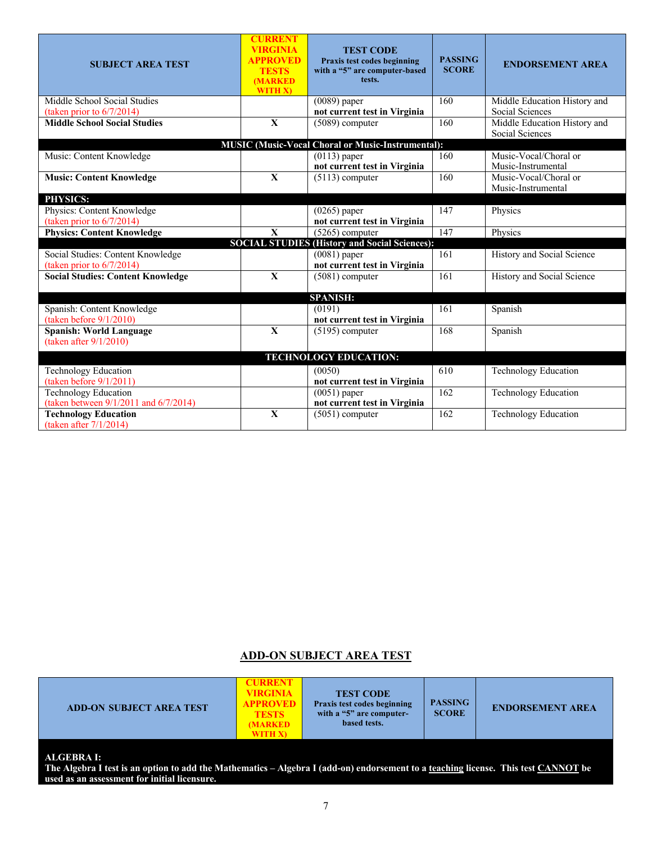| <b>SUBJECT AREA TEST</b>                                    | <b>CURRENT</b><br><b>VIRGINIA</b><br><b>APPROVED</b><br><b>TESTS</b><br><b>(MARKED)</b><br>WITH X) | <b>TEST CODE</b><br>Praxis test codes beginning<br>with a "5" are computer-based<br>tests. | <b>PASSING</b><br><b>SCORE</b> | <b>ENDORSEMENT AREA</b>                         |
|-------------------------------------------------------------|----------------------------------------------------------------------------------------------------|--------------------------------------------------------------------------------------------|--------------------------------|-------------------------------------------------|
| Middle School Social Studies<br>(taken prior to 6/7/2014)   |                                                                                                    | $(0089)$ paper<br>not current test in Virginia                                             | 160                            | Middle Education History and<br>Social Sciences |
| <b>Middle School Social Studies</b>                         | $\overline{\mathbf{X}}$                                                                            | $(5089)$ computer                                                                          | 160                            | Middle Education History and<br>Social Sciences |
|                                                             |                                                                                                    | <b>MUSIC (Music-Vocal Choral or Music-Instrumental):</b>                                   |                                |                                                 |
| Music: Content Knowledge                                    |                                                                                                    | $(0113)$ paper<br>not current test in Virginia                                             | 160                            | Music-Vocal/Choral or<br>Music-Instrumental     |
| <b>Music: Content Knowledge</b>                             | $\mathbf X$                                                                                        | $(5113)$ computer                                                                          | 160                            | Music-Vocal/Choral or<br>Music-Instrumental     |
| PHYSICS:                                                    |                                                                                                    |                                                                                            |                                |                                                 |
| Physics: Content Knowledge                                  |                                                                                                    | $(0265)$ paper                                                                             | 147                            | Physics                                         |
| (taken prior to $6/7/2014$ )                                |                                                                                                    | not current test in Virginia                                                               |                                |                                                 |
| <b>Physics: Content Knowledge</b>                           | $\overline{\mathbf{X}}$                                                                            | $(5265)$ computer                                                                          | $\overline{147}$               | Physics                                         |
|                                                             |                                                                                                    | <b>SOCIAL STUDIES (History and Social Sciences):</b>                                       |                                |                                                 |
| Social Studies: Content Knowledge                           |                                                                                                    | $(0081)$ paper                                                                             | 161                            | History and Social Science                      |
| (taken prior to $6/7/2014$ )                                |                                                                                                    | not current test in Virginia                                                               |                                |                                                 |
| <b>Social Studies: Content Knowledge</b>                    | $\mathbf{X}$                                                                                       | $(5081)$ computer                                                                          | 161                            | History and Social Science                      |
|                                                             |                                                                                                    | <b>SPANISH:</b>                                                                            |                                |                                                 |
| Spanish: Content Knowledge                                  |                                                                                                    | (0191)                                                                                     | 161                            | Spanish                                         |
| (taken before 9/1/2010)                                     |                                                                                                    | not current test in Virginia                                                               |                                |                                                 |
| <b>Spanish: World Language</b><br>(taken after $9/1/2010$ ) | $\overline{\mathbf{X}}$                                                                            | $(5195)$ computer                                                                          | 168                            | Spanish                                         |
|                                                             |                                                                                                    | <b>TECHNOLOGY EDUCATION:</b>                                                               |                                |                                                 |
| <b>Technology Education</b>                                 |                                                                                                    | (0050)                                                                                     | 610                            | <b>Technology Education</b>                     |
| (taken before $9/1/2011$ )                                  |                                                                                                    | not current test in Virginia                                                               |                                |                                                 |
| <b>Technology Education</b>                                 |                                                                                                    | $(0051)$ paper                                                                             | 162                            | <b>Technology Education</b>                     |
| (taken between 9/1/2011 and 6/7/2014)                       |                                                                                                    | not current test in Virginia                                                               |                                |                                                 |
| <b>Technology Education</b><br>(taken after $7/1/2014$ )    | $\mathbf X$                                                                                        | $(5051)$ computer                                                                          | 162                            | Technology Education                            |

# **ADD-ON SUBJECT AREA TEST**

| <b>ADD-ON SUBJECT AREA TEST</b> | <b>CURRENT</b><br><b>VIRGINIA</b><br><b>APPROVED</b><br><b>TESTS</b><br><b>MARKED</b><br>WITH X) | <b>TEST CODE</b><br>Praxis test codes beginning<br>with a "5" are computer-<br>based tests. | <b>PASSING</b><br><b>SCORE</b> | <b>ENDORSEMENT AREA</b> |
|---------------------------------|--------------------------------------------------------------------------------------------------|---------------------------------------------------------------------------------------------|--------------------------------|-------------------------|
| $AT$ $CDDDAT$                   |                                                                                                  |                                                                                             |                                |                         |

**ALGEBRA I:**

**The Algebra I test is an option to add the Mathematics – Algebra I (add-on) endorsement to a teaching license. This test CANNOT be used as an assessment for initial licensure.**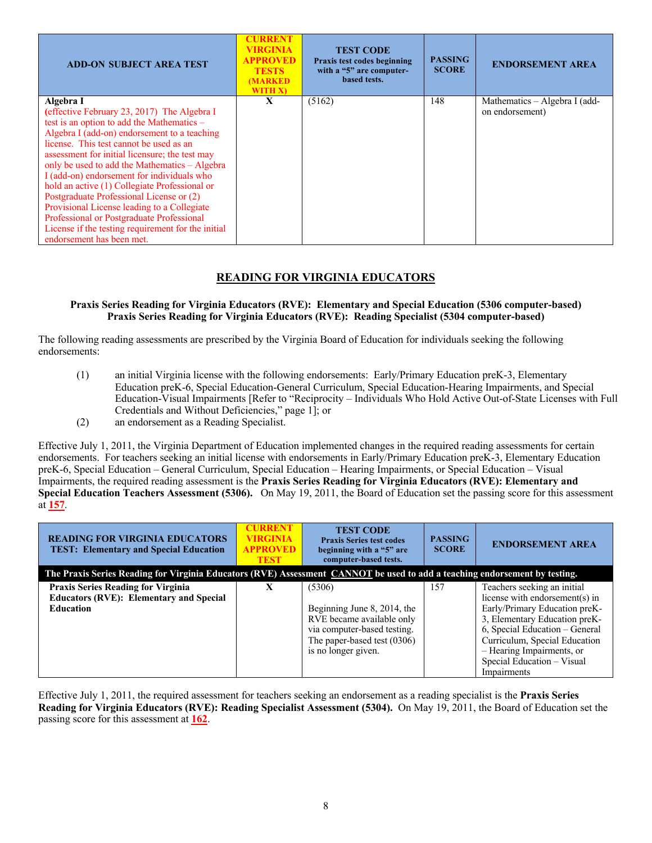| <b>ADD-ON SUBJECT AREA TEST</b>                                                                                                                                                                                                                                                                                                                                                                                                                                                                                                                                                                   | <b>CURRENT</b><br>VIRGINIA<br><b>APPROVED</b><br><b>TESTS</b><br><b>MARKED</b><br>WITH X) | <b>TEST CODE</b><br>Praxis test codes beginning<br>with a "5" are computer-<br>based tests. | <b>PASSING</b><br><b>SCORE</b> | <b>ENDORSEMENT AREA</b>                          |
|---------------------------------------------------------------------------------------------------------------------------------------------------------------------------------------------------------------------------------------------------------------------------------------------------------------------------------------------------------------------------------------------------------------------------------------------------------------------------------------------------------------------------------------------------------------------------------------------------|-------------------------------------------------------------------------------------------|---------------------------------------------------------------------------------------------|--------------------------------|--------------------------------------------------|
| Algebra I<br>(effective February 23, 2017) The Algebra I<br>test is an option to add the Mathematics –<br>Algebra I (add-on) endorsement to a teaching<br>license. This test cannot be used as an<br>assessment for initial licensure; the test may<br>only be used to add the Mathematics - Algebra<br>I (add-on) endorsement for individuals who<br>hold an active (1) Collegiate Professional or<br>Postgraduate Professional License or (2)<br>Provisional License leading to a Collegiate<br>Professional or Postgraduate Professional<br>License if the testing requirement for the initial | X                                                                                         | (5162)                                                                                      | 148                            | Mathematics – Algebra I (add-<br>on endorsement) |

# **READING FOR VIRGINIA EDUCATORS**

#### **Praxis Series Reading for Virginia Educators (RVE): Elementary and Special Education (5306 computer-based) Praxis Series Reading for Virginia Educators (RVE): Reading Specialist (5304 computer-based)**

The following reading assessments are prescribed by the Virginia Board of Education for individuals seeking the following endorsements:

- (1) an initial Virginia license with the following endorsements: Early/Primary Education preK-3, Elementary Education preK-6, Special Education-General Curriculum, Special Education-Hearing Impairments, and Special Education-Visual Impairments [Refer to "Reciprocity – Individuals Who Hold Active Out-of-State Licenses with Full Credentials and Without Deficiencies," page 1]; or
- (2) an endorsement as a Reading Specialist.

Effective July 1, 2011, the Virginia Department of Education implemented changes in the required reading assessments for certain endorsements. For teachers seeking an initial license with endorsements in Early/Primary Education preK-3, Elementary Education preK-6, Special Education – General Curriculum, Special Education – Hearing Impairments, or Special Education – Visual Impairments, the required reading assessment is the **Praxis Series Reading for Virginia Educators (RVE): Elementary and Special Education Teachers Assessment (5306).** On May 19, 2011, the Board of Education set the passing score for this assessment at **157**.

| <b>READING FOR VIRGINIA EDUCATORS</b><br><b>TEST: Elementary and Special Education</b>                                     | <b>CURRENT</b><br><b>VIRGINIA</b><br><b>APPROVED</b><br><b>TEST</b> | <b>TEST CODE</b><br><b>Praxis Series test codes</b><br>beginning with a "5" are<br>computer-based tests.                                                | <b>PASSING</b><br><b>SCORE</b> | <b>ENDORSEMENT AREA</b>                                                                                                                                                                                                                                                      |  |  |
|----------------------------------------------------------------------------------------------------------------------------|---------------------------------------------------------------------|---------------------------------------------------------------------------------------------------------------------------------------------------------|--------------------------------|------------------------------------------------------------------------------------------------------------------------------------------------------------------------------------------------------------------------------------------------------------------------------|--|--|
| The Praxis Series Reading for Virginia Educators (RVE) Assessment CANNOT be used to add a teaching endorsement by testing. |                                                                     |                                                                                                                                                         |                                |                                                                                                                                                                                                                                                                              |  |  |
| <b>Praxis Series Reading for Virginia</b><br><b>Educators (RVE): Elementary and Special</b><br><b>Education</b>            | X                                                                   | (5306)<br>Beginning June 8, 2014, the<br>RVE became available only<br>via computer-based testing.<br>The paper-based test (0306)<br>is no longer given. | 157                            | Teachers seeking an initial<br>license with endorsement(s) in<br>Early/Primary Education preK-<br>3, Elementary Education preK-<br>6, Special Education - General<br>Curriculum, Special Education<br>- Hearing Impairments, or<br>Special Education - Visual<br>Impairments |  |  |

Effective July 1, 2011, the required assessment for teachers seeking an endorsement as a reading specialist is the **Praxis Series Reading for Virginia Educators (RVE): Reading Specialist Assessment (5304).** On May 19, 2011, the Board of Education set the passing score for this assessment at **162**.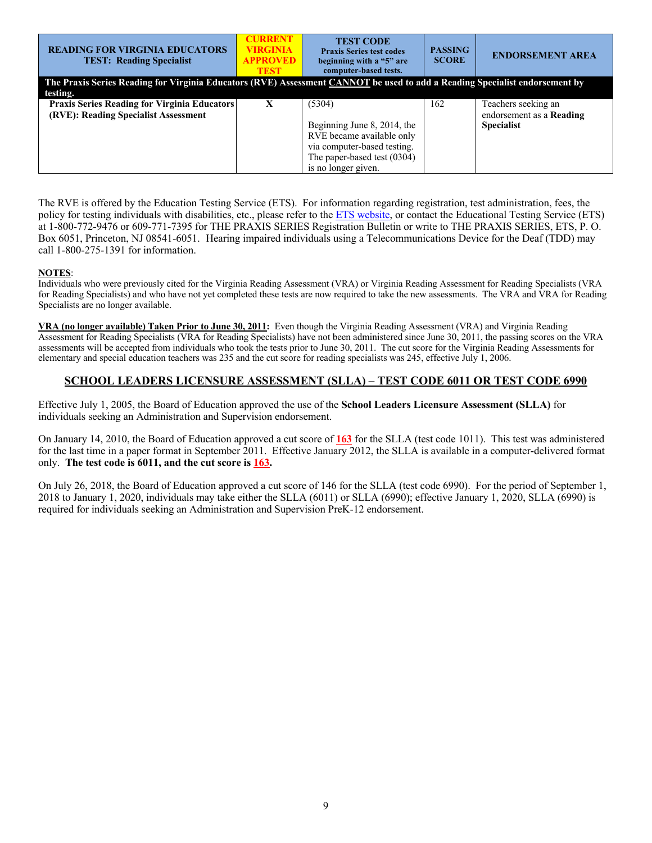| <b>READING FOR VIRGINIA EDUCATORS</b><br><b>TEST: Reading Specialist</b>                                                    | <b>CURRENT</b><br><b>VIRGINIA</b><br><b>APPROVED</b><br><b>TEST</b> | <b>TEST CODE</b><br><b>Praxis Series test codes</b><br>beginning with a "5" are<br>computer-based tests. | <b>PASSING</b><br><b>SCORE</b> | <b>ENDORSEMENT AREA</b>  |
|-----------------------------------------------------------------------------------------------------------------------------|---------------------------------------------------------------------|----------------------------------------------------------------------------------------------------------|--------------------------------|--------------------------|
| The Praxis Series Reading for Virginia Educators (RVE) Assessment CANNOT be used to add a Reading Specialist endorsement by |                                                                     |                                                                                                          |                                |                          |
| testing.                                                                                                                    |                                                                     |                                                                                                          |                                |                          |
| <b>Praxis Series Reading for Virginia Educators</b>                                                                         |                                                                     | (5304)                                                                                                   | 162                            | Teachers seeking an      |
| (RVE): Reading Specialist Assessment                                                                                        |                                                                     |                                                                                                          |                                | endorsement as a Reading |
|                                                                                                                             |                                                                     | Beginning June 8, 2014, the                                                                              |                                | <b>Specialist</b>        |
|                                                                                                                             |                                                                     | RVE became available only                                                                                |                                |                          |
|                                                                                                                             |                                                                     | via computer-based testing.                                                                              |                                |                          |
|                                                                                                                             |                                                                     | The paper-based test (0304)                                                                              |                                |                          |
|                                                                                                                             |                                                                     | is no longer given.                                                                                      |                                |                          |

The RVE is offered by the Education Testing Service (ETS). For information regarding registration, test administration, fees, the policy for testing individuals with disabilities, etc., please refer to the **ETS** website, or contact the Educational Testing Service (ETS) at 1-800-772-9476 or 609-771-7395 for THE PRAXIS SERIES Registration Bulletin or write to THE PRAXIS SERIES, ETS, P. O. Box 6051, Princeton, NJ 08541-6051. Hearing impaired individuals using a Telecommunications Device for the Deaf (TDD) may call 1-800-275-1391 for information.

### **NOTES**:

Individuals who were previously cited for the Virginia Reading Assessment (VRA) or Virginia Reading Assessment for Reading Specialists (VRA for Reading Specialists) and who have not yet completed these tests are now required to take the new assessments. The VRA and VRA for Reading Specialists are no longer available.

**VRA (no longer available) Taken Prior to June 30, 2011:** Even though the Virginia Reading Assessment (VRA) and Virginia Reading Assessment for Reading Specialists (VRA for Reading Specialists) have not been administered since June 30, 2011, the passing scores on the VRA assessments will be accepted from individuals who took the tests prior to June 30, 2011. The cut score for the Virginia Reading Assessments for elementary and special education teachers was 235 and the cut score for reading specialists was 245, effective July 1, 2006.

# **SCHOOL LEADERS LICENSURE ASSESSMENT (SLLA) – TEST CODE 6011 OR TEST CODE 6990**

Effective July 1, 2005, the Board of Education approved the use of the **School Leaders Licensure Assessment (SLLA)** for individuals seeking an Administration and Supervision endorsement.

On January 14, 2010, the Board of Education approved a cut score of **163** for the SLLA (test code 1011). This test was administered for the last time in a paper format in September 2011. Effective January 2012, the SLLA is available in a computer-delivered format only. **The test code is 6011, and the cut score is 163.**

On July 26, 2018, the Board of Education approved a cut score of 146 for the SLLA (test code 6990). For the period of September 1, 2018 to January 1, 2020, individuals may take either the SLLA (6011) or SLLA (6990); effective January 1, 2020, SLLA (6990) is required for individuals seeking an Administration and Supervision PreK-12 endorsement.